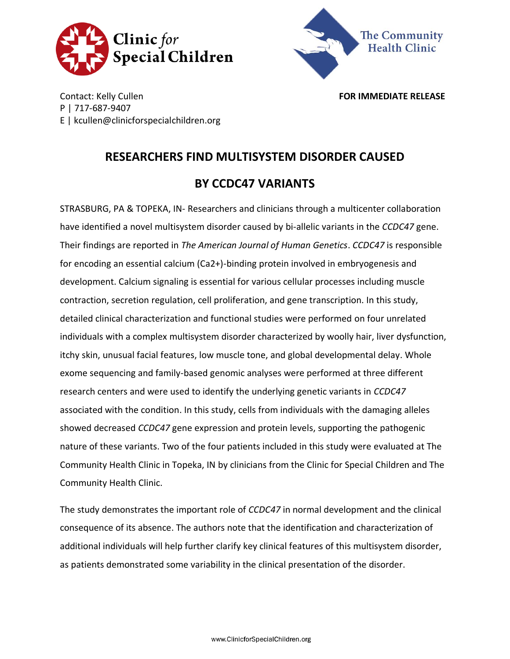



Contact: Kelly Cullen **FOR IMMEDIATE RELEASE** P | 717-687-9407 E | kcullen@clinicforspecialchildren.org

## **RESEARCHERS FIND MULTISYSTEM DISORDER CAUSED BY CCDC47 VARIANTS**

STRASBURG, PA & TOPEKA, IN- Researchers and clinicians through a multicenter collaboration have identified a novel multisystem disorder caused by bi-allelic variants in the *CCDC47* gene. Their findings are reported in *The American Journal of Human Genetics*. *CCDC47* is responsible for encoding an essential calcium (Ca2+)-binding protein involved in embryogenesis and development. Calcium signaling is essential for various cellular processes including muscle contraction, secretion regulation, cell proliferation, and gene transcription. In this study, detailed clinical characterization and functional studies were performed on four unrelated individuals with a complex multisystem disorder characterized by woolly hair, liver dysfunction, itchy skin, unusual facial features, low muscle tone, and global developmental delay. Whole exome sequencing and family-based genomic analyses were performed at three different research centers and were used to identify the underlying genetic variants in *CCDC47* associated with the condition. In this study, cells from individuals with the damaging alleles showed decreased *CCDC47* gene expression and protein levels, supporting the pathogenic nature of these variants. Two of the four patients included in this study were evaluated at The Community Health Clinic in Topeka, IN by clinicians from the Clinic for Special Children and The Community Health Clinic.

The study demonstrates the important role of *CCDC47* in normal development and the clinical consequence of its absence. The authors note that the identification and characterization of additional individuals will help further clarify key clinical features of this multisystem disorder, as patients demonstrated some variability in the clinical presentation of the disorder.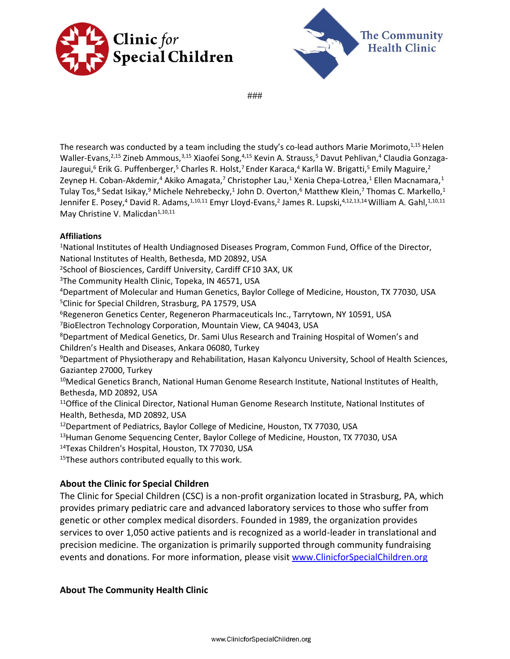



###

The research was conducted by a team including the study's co-lead authors Marie Morimoto,<sup>1,15</sup> Helen Waller-Evans,<sup>2,15</sup> Zineb Ammous,<sup>3,15</sup> Xiaofei Song,<sup>4,15</sup> Kevin A. Strauss,<sup>5</sup> Davut Pehlivan,<sup>4</sup> Claudia Gonzaga-Jauregui,<sup>6</sup> Erik G. Puffenberger,<sup>5</sup> Charles R. Holst,<sup>7</sup> Ender Karaca,<sup>4</sup> Karlla W. Brigatti,<sup>5</sup> Emily Maguire,<sup>2</sup> Zeynep H. Coban-Akdemir,<sup>4</sup> Akiko Amagata,<sup>7</sup> Christopher Lau,<sup>1</sup> Xenia Chepa-Lotrea,<sup>1</sup> Ellen Macnamara,<sup>1</sup> Tulay Tos,<sup>8</sup> Sedat Isikay,<sup>9</sup> Michele Nehrebecky,<sup>1</sup> John D. Overton,<sup>6</sup> Matthew Klein,<sup>7</sup> Thomas C. Markello,<sup>1</sup> Jennifer E. Posey,<sup>4</sup> David R. Adams,<sup>1,10,11</sup> Emyr Lloyd-Evans,<sup>2</sup> James R. Lupski,<sup>4,12,13,14</sup> William A. Gahl,<sup>1,10,11</sup> May Christine V. Malicdan<sup>1,10,11</sup>

## **Affiliations**

<sup>1</sup>National Institutes of Health Undiagnosed Diseases Program, Common Fund, Office of the Director, National Institutes of Health, Bethesda, MD 20892, USA <sup>2</sup>School of Biosciences, Cardiff University, Cardiff CF10 3AX, UK <sup>3</sup>The Community Health Clinic, Topeka, IN 46571, USA <sup>4</sup>Department of Molecular and Human Genetics, Baylor College of Medicine, Houston, TX 77030, USA <sup>5</sup>Clinic for Special Children, Strasburg, PA 17579, USA <sup>6</sup>Regeneron Genetics Center, Regeneron Pharmaceuticals Inc., Tarrytown, NY 10591, USA <sup>7</sup>BioElectron Technology Corporation, Mountain View, CA 94043, USA <sup>8</sup>Department of Medical Genetics, Dr. Sami Ulus Research and Training Hospital of Women's and Children's Health and Diseases, Ankara 06080, Turkey <sup>9</sup>Department of Physiotherapy and Rehabilitation, Hasan Kalyoncu University, School of Health Sciences, Gaziantep 27000, Turkey <sup>10</sup>Medical Genetics Branch, National Human Genome Research Institute, National Institutes of Health, Bethesda, MD 20892, USA <sup>11</sup>Office of the Clinical Director, National Human Genome Research Institute, National Institutes of Health, Bethesda, MD 20892, USA <sup>12</sup>Department of Pediatrics, Baylor College of Medicine, Houston, TX 77030, USA <sup>13</sup>Human Genome Sequencing Center, Baylor College of Medicine, Houston, TX 77030, USA <sup>14</sup>Texas Children's Hospital, Houston, TX 77030, USA

<sup>15</sup>These authors contributed equally to this work.

## **About the Clinic for Special Children**

The Clinic for Special Children (CSC) is a non-profit organization located in Strasburg, PA, which provides primary pediatric care and advanced laboratory services to those who suffer from genetic or other complex medical disorders. Founded in 1989, the organization provides services to over 1,050 active patients and is recognized as a world-leader in translational and precision medicine. The organization is primarily supported through community fundraising events and donations. For more information, please visit [www.ClinicforSpecialChildren.org](http://www.clinicforspecialchildren.org/)

## **About The Community Health Clinic**